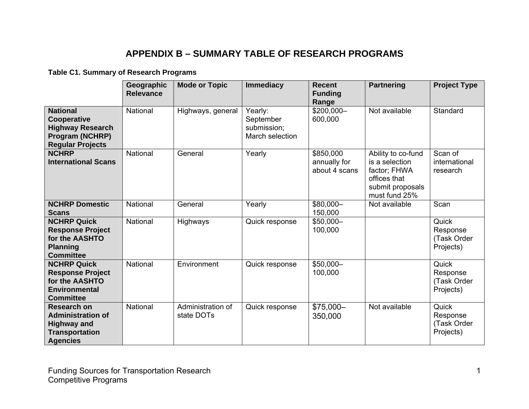## **APPENDIX B – SUMMARY TABLE OF RESEARCH PROGRAMS**

## **Table C1. Summary of Research Programs**

|                                                                                                                  | Geographic<br><b>Relevance</b> | <b>Mode or Topic</b>            | <b>Immediacy</b>                                       | <b>Recent</b><br><b>Funding</b><br>Range   | <b>Partnering</b>                                                                                         | <b>Project Type</b>                           |
|------------------------------------------------------------------------------------------------------------------|--------------------------------|---------------------------------|--------------------------------------------------------|--------------------------------------------|-----------------------------------------------------------------------------------------------------------|-----------------------------------------------|
| <b>National</b><br>Cooperative<br><b>Highway Research</b><br><b>Program (NCHRP)</b><br><b>Regular Projects</b>   | National                       | Highways, general               | Yearly:<br>September<br>submission;<br>March selection | \$200,000-<br>600,000                      | Not available                                                                                             | Standard                                      |
| <b>NCHRP</b><br><b>International Scans</b>                                                                       | National                       | General                         | Yearly                                                 | \$850,000<br>annually for<br>about 4 scans | Ability to co-fund<br>is a selection<br>factor; FHWA<br>offices that<br>submit proposals<br>must fund 25% | Scan of<br>international<br>research          |
| <b>NCHRP Domestic</b><br><b>Scans</b>                                                                            | National                       | General                         | Yearly                                                 | \$80,000-<br>150,000                       | Not available                                                                                             | Scan                                          |
| <b>NCHRP Quick</b><br><b>Response Project</b><br>for the AASHTO<br><b>Planning</b><br><b>Committee</b>           | National                       | Highways                        | Quick response                                         | \$50,000-<br>100,000                       |                                                                                                           | Quick<br>Response<br>(Task Order<br>Projects) |
| <b>NCHRP Quick</b><br><b>Response Project</b><br>for the AASHTO<br><b>Environmental</b><br><b>Committee</b>      | National                       | Environment                     | Quick response                                         | \$50,000-<br>100,000                       |                                                                                                           | Quick<br>Response<br>(Task Order<br>Projects) |
| <b>Research on</b><br><b>Administration of</b><br><b>Highway and</b><br><b>Transportation</b><br><b>Agencies</b> | National                       | Administration of<br>state DOTs | Quick response                                         | \$75,000-<br>350,000                       | Not available                                                                                             | Quick<br>Response<br>(Task Order<br>Projects) |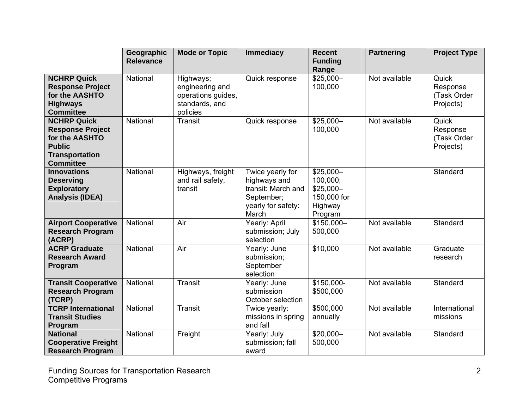|                                                                                                                               | Geographic<br><b>Relevance</b> | <b>Mode or Topic</b>                                                             | <b>Immediacy</b>                                                                                    | <b>Recent</b><br><b>Funding</b><br>Range                                  | <b>Partnering</b> | <b>Project Type</b>                           |
|-------------------------------------------------------------------------------------------------------------------------------|--------------------------------|----------------------------------------------------------------------------------|-----------------------------------------------------------------------------------------------------|---------------------------------------------------------------------------|-------------------|-----------------------------------------------|
| <b>NCHRP Quick</b><br><b>Response Project</b><br>for the AASHTO<br><b>Highways</b><br><b>Committee</b>                        | National                       | Highways;<br>engineering and<br>operations guides,<br>standards, and<br>policies | Quick response                                                                                      | $$25,000-$<br>100,000                                                     | Not available     | Quick<br>Response<br>(Task Order<br>Projects) |
| <b>NCHRP Quick</b><br><b>Response Project</b><br>for the AASHTO<br><b>Public</b><br><b>Transportation</b><br><b>Committee</b> | National                       | <b>Transit</b>                                                                   | Quick response                                                                                      | $$25,000-$<br>100,000                                                     | Not available     | Quick<br>Response<br>(Task Order<br>Projects) |
| <b>Innovations</b><br><b>Deserving</b><br><b>Exploratory</b><br><b>Analysis (IDEA)</b>                                        | National                       | Highways, freight<br>and rail safety,<br>transit                                 | Twice yearly for<br>highways and<br>transit: March and<br>September;<br>yearly for safety:<br>March | $$25,000-$<br>100,000;<br>$$25,000-$<br>150,000 for<br>Highway<br>Program |                   | Standard                                      |
| <b>Airport Cooperative</b><br><b>Research Program</b><br>(ACRP)                                                               | National                       | Air                                                                              | Yearly: April<br>submission; July<br>selection                                                      | $$150,000-$<br>500,000                                                    | Not available     | Standard                                      |
| <b>ACRP Graduate</b><br><b>Research Award</b><br>Program                                                                      | National                       | Air                                                                              | Yearly: June<br>submission;<br>September<br>selection                                               | \$10,000                                                                  | Not available     | Graduate<br>research                          |
| <b>Transit Cooperative</b><br><b>Research Program</b><br>(TCRP)                                                               | National                       | <b>Transit</b>                                                                   | Yearly: June<br>submission<br>October selection                                                     | \$150,000-<br>\$500,000                                                   | Not available     | Standard                                      |
| <b>TCRP International</b><br><b>Transit Studies</b><br>Program                                                                | National                       | <b>Transit</b>                                                                   | Twice yearly:<br>missions in spring<br>and fall                                                     | \$500,000<br>annually                                                     | Not available     | International<br>missions                     |
| <b>National</b><br><b>Cooperative Freight</b><br><b>Research Program</b>                                                      | National                       | Freight                                                                          | Yearly: July<br>submission; fall<br>award                                                           | \$20,000-<br>500,000                                                      | Not available     | Standard                                      |

Funding Sources for Transportation Research Competitive Programs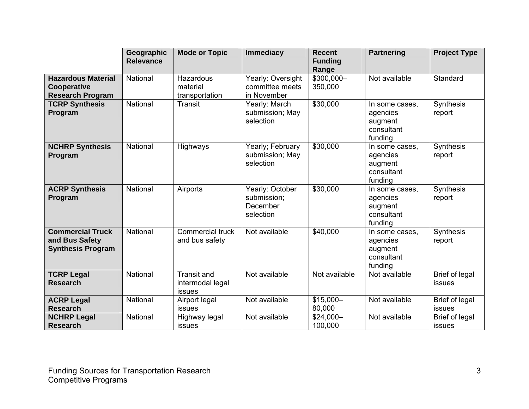|                                                                       | Geographic<br><b>Relevance</b> | <b>Mode or Topic</b>                             | <b>Immediacy</b>                                        | <b>Recent</b><br><b>Funding</b><br>Range | <b>Partnering</b>                                              | <b>Project Type</b>             |
|-----------------------------------------------------------------------|--------------------------------|--------------------------------------------------|---------------------------------------------------------|------------------------------------------|----------------------------------------------------------------|---------------------------------|
| <b>Hazardous Material</b><br>Cooperative<br><b>Research Program</b>   | National                       | Hazardous<br>material<br>transportation          | Yearly: Oversight<br>committee meets<br>in November     | \$300,000-<br>350,000                    | Not available                                                  | Standard                        |
| <b>TCRP Synthesis</b><br>Program                                      | National                       | <b>Transit</b>                                   | Yearly: March<br>submission; May<br>selection           | \$30,000                                 | In some cases,<br>agencies<br>augment<br>consultant<br>funding | Synthesis<br>report             |
| <b>NCHRP Synthesis</b><br>Program                                     | National                       | Highways                                         | Yearly; February<br>submission; May<br>selection        | \$30,000                                 | In some cases,<br>agencies<br>augment<br>consultant<br>funding | Synthesis<br>report             |
| <b>ACRP Synthesis</b><br>Program                                      | National                       | Airports                                         | Yearly: October<br>submission;<br>December<br>selection | \$30,000                                 | In some cases,<br>agencies<br>augment<br>consultant<br>funding | Synthesis<br>report             |
| <b>Commercial Truck</b><br>and Bus Safety<br><b>Synthesis Program</b> | National                       | Commercial truck<br>and bus safety               | Not available                                           | \$40,000                                 | In some cases,<br>agencies<br>augment<br>consultant<br>funding | Synthesis<br>report             |
| <b>TCRP Legal</b><br><b>Research</b>                                  | National                       | <b>Transit and</b><br>intermodal legal<br>issues | Not available                                           | Not available                            | Not available                                                  | <b>Brief of legal</b><br>issues |
| <b>ACRP Legal</b><br><b>Research</b>                                  | National                       | Airport legal<br>issues                          | Not available                                           | $$15,000-$<br>80,000                     | Not available                                                  | Brief of legal<br>issues        |
| <b>NCHRP Legal</b><br><b>Research</b>                                 | National                       | Highway legal<br>issues                          | Not available                                           | $$24,000-$<br>100,000                    | Not available                                                  | Brief of legal<br>issues        |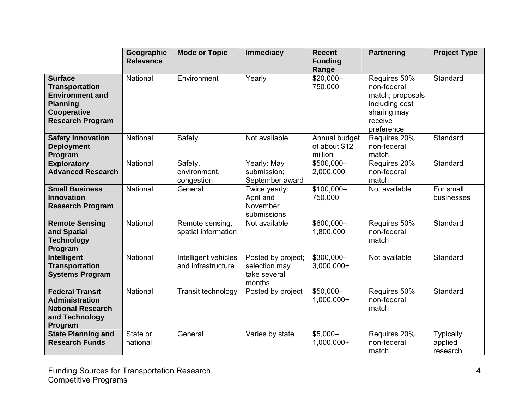|                                                                                                                                | Geographic<br><b>Relevance</b> | <b>Mode or Topic</b>                       | <b>Immediacy</b>                                              | <b>Recent</b><br><b>Funding</b><br>Range  | <b>Partnering</b>                                                                                         | <b>Project Type</b>                     |
|--------------------------------------------------------------------------------------------------------------------------------|--------------------------------|--------------------------------------------|---------------------------------------------------------------|-------------------------------------------|-----------------------------------------------------------------------------------------------------------|-----------------------------------------|
| <b>Surface</b><br><b>Transportation</b><br><b>Environment and</b><br><b>Planning</b><br>Cooperative<br><b>Research Program</b> | National                       | Environment                                | Yearly                                                        | \$20,000-<br>750,000                      | Requires 50%<br>non-federal<br>match; proposals<br>including cost<br>sharing may<br>receive<br>preference | Standard                                |
| <b>Safety Innovation</b><br><b>Deployment</b><br>Program                                                                       | National                       | Safety                                     | Not available                                                 | Annual budget<br>of about \$12<br>million | Requires 20%<br>non-federal<br>match                                                                      | Standard                                |
| <b>Exploratory</b><br><b>Advanced Research</b>                                                                                 | National                       | Safety,<br>environment.<br>congestion      | Yearly: May<br>submission;<br>September award                 | \$500,000-<br>2,000,000                   | Requires 20%<br>non-federal<br>match                                                                      | Standard                                |
| <b>Small Business</b><br><b>Innovation</b><br><b>Research Program</b>                                                          | National                       | General                                    | Twice yearly:<br>April and<br>November<br>submissions         | $$100,000-$<br>750,000                    | Not available                                                                                             | For small<br>businesses                 |
| <b>Remote Sensing</b><br>and Spatial<br><b>Technology</b><br>Program                                                           | National                       | Remote sensing,<br>spatial information     | Not available                                                 | \$600,000-<br>1,800,000                   | Requires 50%<br>non-federal<br>match                                                                      | Standard                                |
| Intelligent<br><b>Transportation</b><br><b>Systems Program</b>                                                                 | National                       | Intelligent vehicles<br>and infrastructure | Posted by project;<br>selection may<br>take several<br>months | $$300,000-$<br>$3,000,000+$               | Not available                                                                                             | Standard                                |
| <b>Federal Transit</b><br><b>Administration</b><br><b>National Research</b><br>and Technology<br>Program                       | National                       | Transit technology                         | Posted by project                                             | \$50,000-<br>1,000,000+                   | Requires 50%<br>non-federal<br>match                                                                      | Standard                                |
| <b>State Planning and</b><br><b>Research Funds</b>                                                                             | State or<br>national           | General                                    | Varies by state                                               | $$5,000-$<br>1,000,000+                   | Requires 20%<br>non-federal<br>match                                                                      | <b>Typically</b><br>applied<br>research |

Funding Sources for Transportation Research Competitive Programs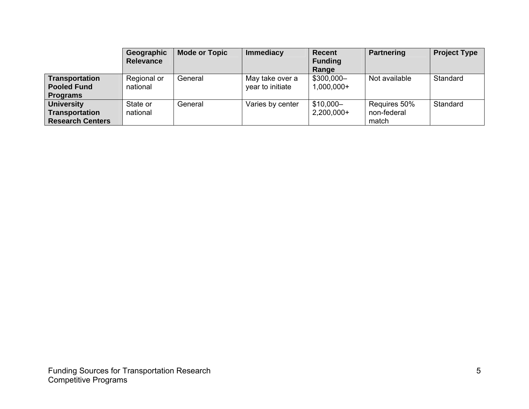|                                                                       | Geographic<br><b>Relevance</b> | <b>Mode or Topic</b> | Immediacy                           | <b>Recent</b><br><b>Funding</b><br>Range | <b>Partnering</b>                    | <b>Project Type</b> |
|-----------------------------------------------------------------------|--------------------------------|----------------------|-------------------------------------|------------------------------------------|--------------------------------------|---------------------|
| Transportation<br><b>Pooled Fund</b><br><b>Programs</b>               | Regional or<br>national        | General              | May take over a<br>year to initiate | \$300,000-<br>$1,000,000+$               | Not available                        | Standard            |
| <b>University</b><br><b>Transportation</b><br><b>Research Centers</b> | State or<br>national           | General              | Varies by center                    | $$10,000-$<br>$2,200,000+$               | Requires 50%<br>non-federal<br>match | Standard            |